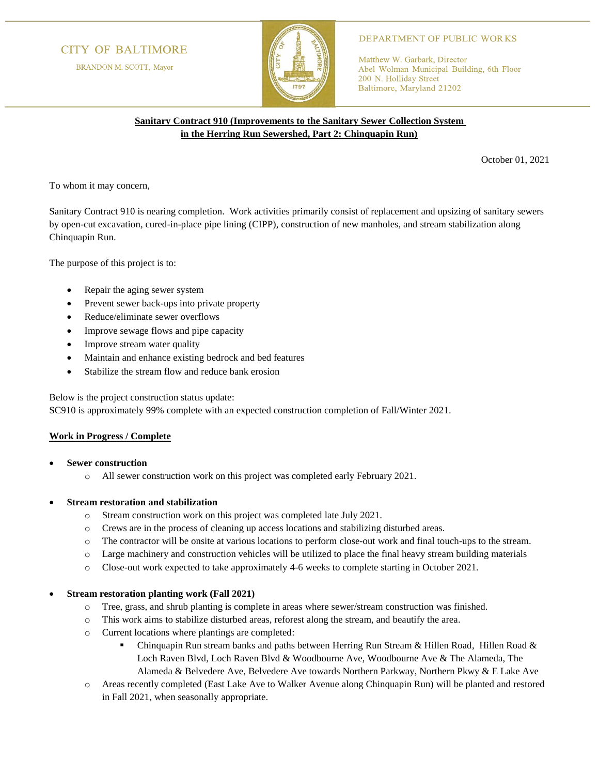# **CITY OF BALTIMORE**

BRANDON M. SCOTT, Mayor



## **DEPARTMENT OF PUBLIC WORKS**

Matthew W. Garbark, Director Abel Wolman Municipal Building, 6th Floor 200 N. Holliday Street Baltimore, Maryland 21202

## **Sanitary Contract 910 (Improvements to the Sanitary Sewer Collection System in the Herring Run Sewershed, Part 2: Chinquapin Run)**

October 01, 2021

To whom it may concern,

Sanitary Contract 910 is nearing completion. Work activities primarily consist of replacement and upsizing of sanitary sewers by open-cut excavation, cured-in-place pipe lining (CIPP), construction of new manholes, and stream stabilization along Chinquapin Run.

The purpose of this project is to:

- Repair the aging sewer system
- Prevent sewer back-ups into private property
- Reduce/eliminate sewer overflows
- Improve sewage flows and pipe capacity
- Improve stream water quality
- Maintain and enhance existing bedrock and bed features
- Stabilize the stream flow and reduce bank erosion

Below is the project construction status update:

SC910 is approximately 99% complete with an expected construction completion of Fall/Winter 2021.

#### **Work in Progress / Complete**

- **Sewer construction**
	- o All sewer construction work on this project was completed early February 2021.

## • **Stream restoration and stabilization**

- o Stream construction work on this project was completed late July 2021.
- o Crews are in the process of cleaning up access locations and stabilizing disturbed areas.
- o The contractor will be onsite at various locations to perform close-out work and final touch-ups to the stream.
- o Large machinery and construction vehicles will be utilized to place the final heavy stream building materials
- o Close-out work expected to take approximately 4-6 weeks to complete starting in October 2021.

#### • **Stream restoration planting work (Fall 2021)**

- o Tree, grass, and shrub planting is complete in areas where sewer/stream construction was finished.
- o This work aims to stabilize disturbed areas, reforest along the stream, and beautify the area.
- o Current locations where plantings are completed:
	- **•** Chinquapin Run stream banks and paths between Herring Run Stream & Hillen Road, Hillen Road & Loch Raven Blvd, Loch Raven Blvd & Woodbourne Ave, Woodbourne Ave & The Alameda, The Alameda & Belvedere Ave, Belvedere Ave towards Northern Parkway, Northern Pkwy & E Lake Ave
- o Areas recently completed (East Lake Ave to Walker Avenue along Chinquapin Run) will be planted and restored in Fall 2021, when seasonally appropriate.